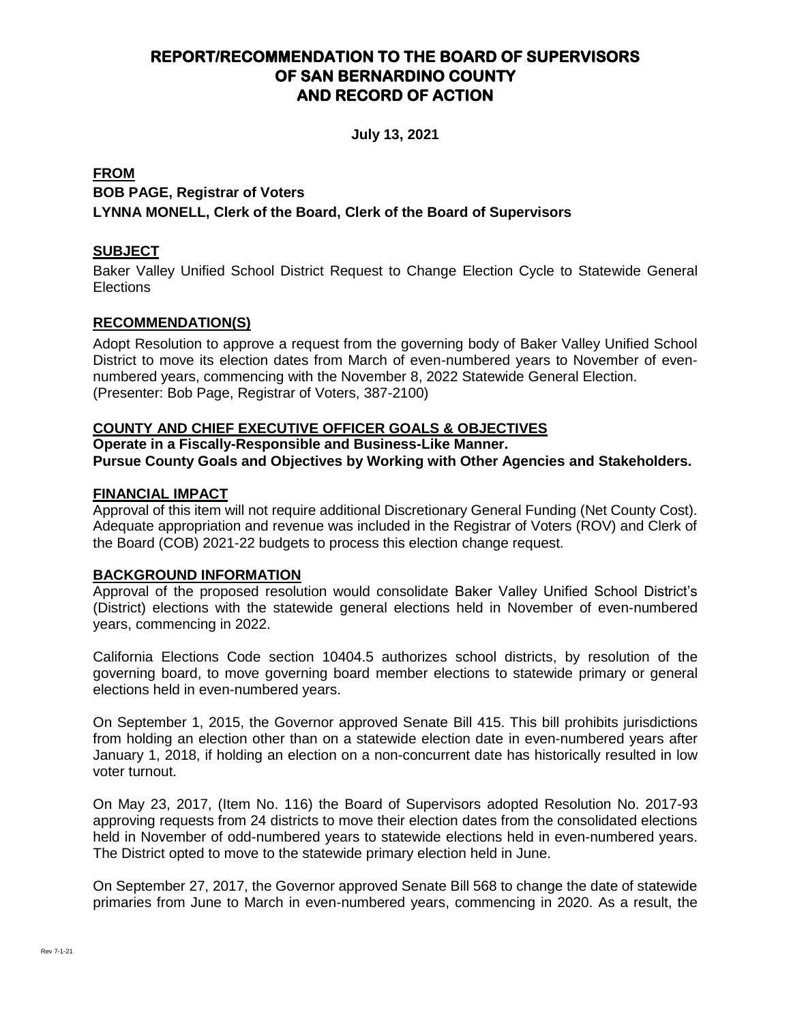# **REPORT/RECOMMENDATION TO THE BOARD OF SUPERVISORS OF SAN BERNARDINO COUNTY AND RECORD OF ACTION**

**July 13, 2021**

# **FROM BOB PAGE, Registrar of Voters LYNNA MONELL, Clerk of the Board, Clerk of the Board of Supervisors**

# **SUBJECT**

Baker Valley Unified School District Request to Change Election Cycle to Statewide General Elections

# **RECOMMENDATION(S)**

Adopt Resolution to approve a request from the governing body of Baker Valley Unified School District to move its election dates from March of even-numbered years to November of evennumbered years, commencing with the November 8, 2022 Statewide General Election. (Presenter: Bob Page, Registrar of Voters, 387-2100)

## **COUNTY AND CHIEF EXECUTIVE OFFICER GOALS & OBJECTIVES**

# **Operate in a Fiscally-Responsible and Business-Like Manner. Pursue County Goals and Objectives by Working with Other Agencies and Stakeholders.**

#### **FINANCIAL IMPACT**

Approval of this item will not require additional Discretionary General Funding (Net County Cost). Adequate appropriation and revenue was included in the Registrar of Voters (ROV) and Clerk of the Board (COB) 2021-22 budgets to process this election change request.

## **BACKGROUND INFORMATION**

Approval of the proposed resolution would consolidate Baker Valley Unified School District's (District) elections with the statewide general elections held in November of even-numbered years, commencing in 2022.

California Elections Code section 10404.5 authorizes school districts, by resolution of the governing board, to move governing board member elections to statewide primary or general elections held in even-numbered years.

On September 1, 2015, the Governor approved Senate Bill 415. This bill prohibits jurisdictions from holding an election other than on a statewide election date in even-numbered years after January 1, 2018, if holding an election on a non-concurrent date has historically resulted in low voter turnout.

On May 23, 2017, (Item No. 116) the Board of Supervisors adopted Resolution No. 2017-93 approving requests from 24 districts to move their election dates from the consolidated elections held in November of odd-numbered years to statewide elections held in even-numbered years. The District opted to move to the statewide primary election held in June.

On September 27, 2017, the Governor approved Senate Bill 568 to change the date of statewide primaries from June to March in even-numbered years, commencing in 2020. As a result, the